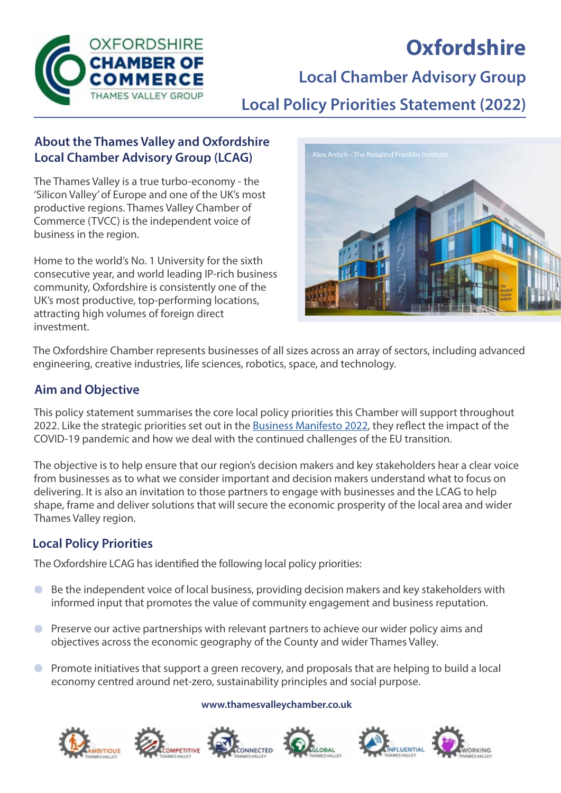

# **Oxfordshire**

**Local Chamber Advisory Group**

**Local Policy Priorities Statement (2022)**

### **About the Thames Valley and Oxfordshire Local Chamber Advisory Group (LCAG)**

The Thames Valley is a true turbo-economy - the 'Silicon Valley' of Europe and one of the UK's most productive regions. Thames Valley Chamber of Commerce (TVCC) is the independent voice of business in the region.

Home to the world's No. 1 University for the sixth consecutive year, and world leading IP-rich business community, Oxfordshire is consistently one of the UK's most productive, top-performing locations, attracting high volumes of foreign direct investment.



The Oxfordshire Chamber represents businesses of all sizes across an array of sectors, including advanced engineering, creative industries, life sciences, robotics, space, and technology.

## **Aim and Objective**

This policy statement summarises the core local policy priorities this Chamber will support throughout 2022. Like the strategic priorities set out in the [Business Manifesto 2022](https://www.thamesvalleychamber.co.uk/wp-content/uploads/2021/11/Business-Manifesto-2022-Final-Draft.pdf), they reflect the impact of the COVID-19 pandemic and how we deal with the continued challenges of the EU transition.

The objective is to help ensure that our region's decision makers and key stakeholders hear a clear voice from businesses as to what we consider important and decision makers understand what to focus on delivering. It is also an invitation to those partners to engage with businesses and the LCAG to help shape, frame and deliver solutions that will secure the economic prosperity of the local area and wider Thames Valley region.

### **Local Policy Priorities**

The Oxfordshire LCAG has identified the following local policy priorities:

- Be the independent voice of local business, providing decision makers and key stakeholders with informed input that promotes the value of community engagement and business reputation.
- **C** Preserve our active partnerships with relevant partners to achieve our wider policy aims and objectives across the economic geography of the County and wider Thames Valley.
- Promote initiatives that support a green recovery, and proposals that are helping to build a local  $\bullet$ economy centred around net-zero, sustainability principles and social purpose.

#### **www.thamesvalleychamber.co.uk**











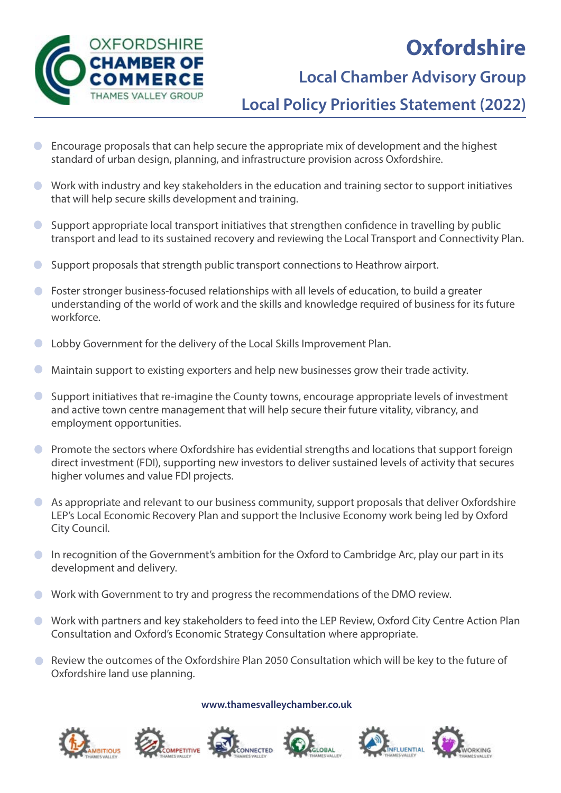



## **Local Chamber Advisory Group**

**Local Policy Priorities Statement (2022)**

- Encourage proposals that can help secure the appropriate mix of development and the highest  $\bullet$ standard of urban design, planning, and infrastructure provision across Oxfordshire.
- Work with industry and key stakeholders in the education and training sector to support initiatives that will help secure skills development and training.
- $\bullet$ Support appropriate local transport initiatives that strengthen confidence in travelling by public transport and lead to its sustained recovery and reviewing the Local Transport and Connectivity Plan.
- Support proposals that strength public transport connections to Heathrow airport.  $\bullet$
- **C** Foster stronger business-focused relationships with all levels of education, to build a greater understanding of the world of work and the skills and knowledge required of business for its future workforce.
- Lobby Government for the delivery of the Local Skills Improvement Plan.  $\Box$
- Maintain support to existing exporters and help new businesses grow their trade activity.  $\overline{\phantom{a}}$
- Support initiatives that re-imagine the County towns, encourage appropriate levels of investment  $\bullet$ and active town centre management that will help secure their future vitality, vibrancy, and employment opportunities.
- Promote the sectors where Oxfordshire has evidential strengths and locations that support foreign  $\bullet$ direct investment (FDI), supporting new investors to deliver sustained levels of activity that secures higher volumes and value FDI projects.
- As appropriate and relevant to our business community, support proposals that deliver Oxfordshire  $\bullet$ LEP's Local Economic Recovery Plan and support the Inclusive Economy work being led by Oxford City Council.
- In recognition of the Government's ambition for the Oxford to Cambridge Arc, play our part in its development and delivery.
- Work with Government to try and progress the recommendations of the DMO review.
- Work with partners and key stakeholders to feed into the LEP Review, Oxford City Centre Action Plan Consultation and Oxford's Economic Strategy Consultation where appropriate.
- Review the outcomes of the Oxfordshire Plan 2050 Consultation which will be key to the future of Oxfordshire land use planning.